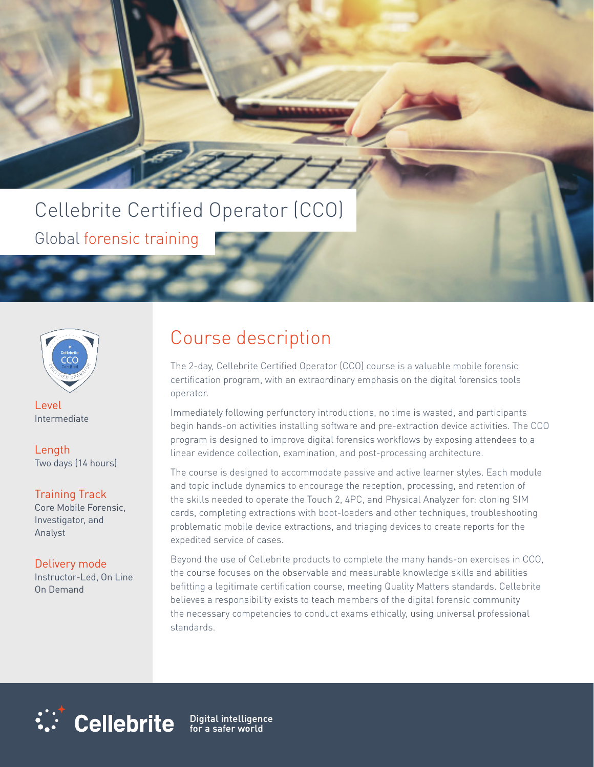# Cellebrite Certified Operator (CCO)

Global forensic training



Level Intermediate

Length Two days (14 hours)

### Training Track

Core Mobile Forensic, Investigator, and Analyst

### Delivery mode

Instructor-Led, On Line On Demand

### Course description

The 2-day, Cellebrite Certified Operator (CCO) course is a valuable mobile forensic certification program, with an extraordinary emphasis on the digital forensics tools operator.

Immediately following perfunctory introductions, no time is wasted, and participants begin hands-on activities installing software and pre-extraction device activities. The CCO program is designed to improve digital forensics workflows by exposing attendees to a linear evidence collection, examination, and post-processing architecture.

The course is designed to accommodate passive and active learner styles. Each module and topic include dynamics to encourage the reception, processing, and retention of the skills needed to operate the Touch 2, 4PC, and Physical Analyzer for: cloning SIM cards, completing extractions with boot-loaders and other techniques, troubleshooting problematic mobile device extractions, and triaging devices to create reports for the expedited service of cases.

Beyond the use of Cellebrite products to complete the many hands-on exercises in CCO, the course focuses on the observable and measurable knowledge skills and abilities befitting a legitimate certification course, meeting Quality Matters standards. Cellebrite believes a responsibility exists to teach members of the digital forensic community the necessary competencies to conduct exams ethically, using universal professional standards.



Digital intelligence<br>for a safer world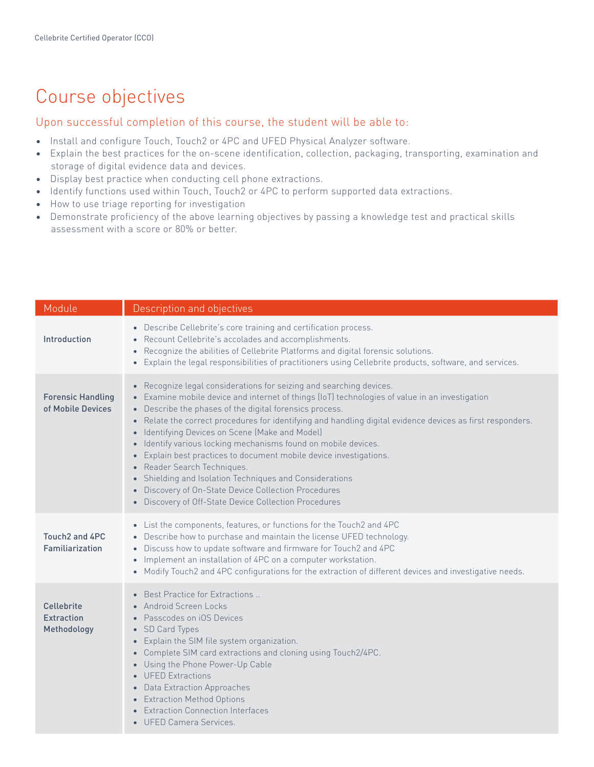## Course objectives

#### Upon successful completion of this course, the student will be able to:

- Install and configure Touch, Touch2 or 4PC and UFED Physical Analyzer software.
- Explain the best practices for the on-scene identification, collection, packaging, transporting, examination and storage of digital evidence data and devices.
- Display best practice when conducting cell phone extractions.
- Identify functions used within Touch, Touch2 or 4PC to perform supported data extractions.
- How to use triage reporting for investigation
- Demonstrate proficiency of the above learning objectives by passing a knowledge test and practical skills assessment with a score or 80% or better.

| Module                                         | Description and objectives                                                                                                                                                                                                                                                                                                                                                                                                                                                                                                                                                                                                                                                                                                                           |
|------------------------------------------------|------------------------------------------------------------------------------------------------------------------------------------------------------------------------------------------------------------------------------------------------------------------------------------------------------------------------------------------------------------------------------------------------------------------------------------------------------------------------------------------------------------------------------------------------------------------------------------------------------------------------------------------------------------------------------------------------------------------------------------------------------|
| Introduction                                   | • Describe Cellebrite's core training and certification process.<br>• Recount Cellebrite's accolades and accomplishments.<br>• Recognize the abilities of Cellebrite Platforms and digital forensic solutions.<br>Explain the legal responsibilities of practitioners using Cellebrite products, software, and services.                                                                                                                                                                                                                                                                                                                                                                                                                             |
| <b>Forensic Handling</b><br>of Mobile Devices  | • Recognize legal considerations for seizing and searching devices.<br>• Examine mobile device and internet of things (IoT) technologies of value in an investigation<br>• Describe the phases of the digital forensics process.<br>• Relate the correct procedures for identifying and handling digital evidence devices as first responders.<br>• Identifying Devices on Scene (Make and Model)<br>• Identify various locking mechanisms found on mobile devices.<br>• Explain best practices to document mobile device investigations.<br>• Reader Search Techniques.<br>• Shielding and Isolation Techniques and Considerations<br>• Discovery of On-State Device Collection Procedures<br>• Discovery of Off-State Device Collection Procedures |
| Touch2 and 4PC<br>Familiarization              | • List the components, features, or functions for the Touch2 and 4PC<br>• Describe how to purchase and maintain the license UFED technology.<br>• Discuss how to update software and firmware for Touch2 and 4PC<br>• Implement an installation of 4PC on a computer workstation.<br>• Modify Touch2 and 4PC configurations for the extraction of different devices and investigative needs.                                                                                                                                                                                                                                                                                                                                                         |
| Cellebrite<br><b>Extraction</b><br>Methodology | • Best Practice for Extractions<br>• Android Screen Locks<br>• Passcodes on iOS Devices<br>• SD Card Types<br>• Explain the SIM file system organization.<br>• Complete SIM card extractions and cloning using Touch2/4PC.<br>• Using the Phone Power-Up Cable<br>• UFED Extractions<br>• Data Extraction Approaches<br>• Extraction Method Options<br>• Extraction Connection Interfaces<br>• UFED Camera Services.                                                                                                                                                                                                                                                                                                                                 |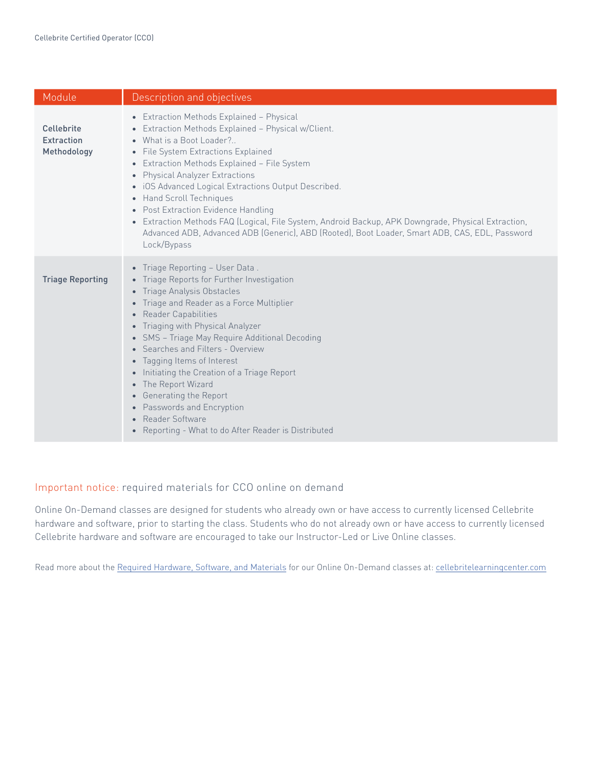| Module                                         | Description and objectives                                                                                                                                                                                                                                                                                                                                                                                                                                                                                                                                                                                |
|------------------------------------------------|-----------------------------------------------------------------------------------------------------------------------------------------------------------------------------------------------------------------------------------------------------------------------------------------------------------------------------------------------------------------------------------------------------------------------------------------------------------------------------------------------------------------------------------------------------------------------------------------------------------|
| Cellebrite<br><b>Extraction</b><br>Methodology | • Extraction Methods Explained - Physical<br>• Extraction Methods Explained - Physical w/Client.<br>• What is a Boot Loader?<br>• File System Extractions Explained<br>• Extraction Methods Explained - File System<br>• Physical Analyzer Extractions<br>· iOS Advanced Logical Extractions Output Described.<br>• Hand Scroll Techniques<br>• Post Extraction Evidence Handling<br>• Extraction Methods FAQ (Logical, File System, Android Backup, APK Downgrade, Physical Extraction,<br>Advanced ADB, Advanced ADB (Generic), ABD (Rooted), Boot Loader, Smart ADB, CAS, EDL, Password<br>Lock/Bypass |
| <b>Triage Reporting</b>                        | • Triage Reporting - User Data.<br>• Triage Reports for Further Investigation<br>Triage Analysis Obstacles<br>$\bullet$<br>• Triage and Reader as a Force Multiplier<br>• Reader Capabilities<br>• Triaging with Physical Analyzer<br>• SMS - Triage May Require Additional Decoding<br>• Searches and Filters - Overview<br>• Tagging Items of Interest<br>• Initiating the Creation of a Triage Report<br>The Report Wizard<br>$\bullet$<br>• Generating the Report<br>• Passwords and Encryption<br>Reader Software<br>Reporting - What to do After Reader is Distributed<br>$\bullet$                 |

#### Important notice: required materials for CCO online on demand

Online On-Demand classes are designed for students who already own or have access to currently licensed Cellebrite hardware and software, prior to starting the class. Students who do not already own or have access to currently licensed Cellebrite hardware and software are encouraged to take our Instructor-Led or Live Online classes.

Read more about the Required Hardware, Software, and Materials for our Online On-Demand classes at: cellebritelearningcenter.com